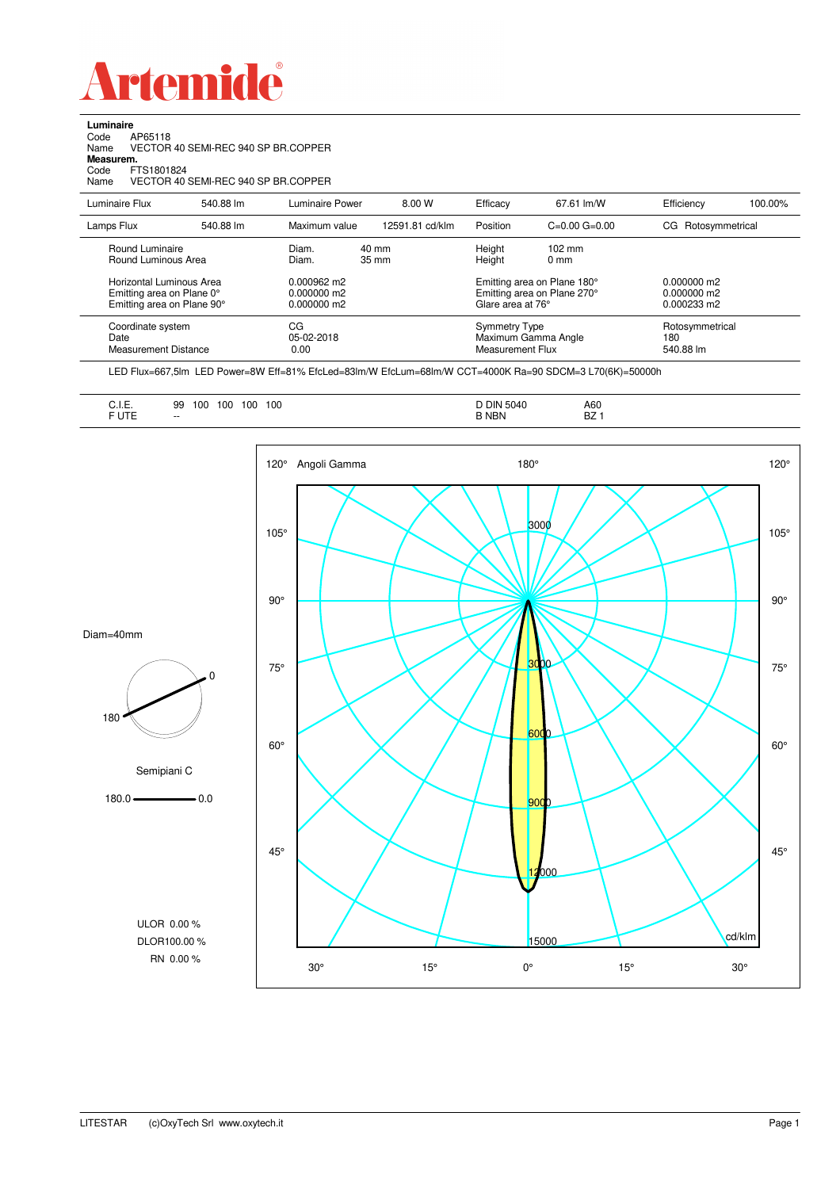

**Luminaire**<br>Code /<br>Name \ Code AP65118 Name VECTOR 40 SEMI-REC 940 SP BR.COPPER

**Measurem.**

Code FTS1801824 Name VECTOR 40 SEMI-REC 940 SP BR.COPPER

| Luminaire Flux                                                                                                                | 540.88 lm | Luminaire Power                                                                                      | 8.00 W          | Efficacy                                                                                                                                  | 67.61 lm/W                                               | Efficiency                                             | 100.00% |
|-------------------------------------------------------------------------------------------------------------------------------|-----------|------------------------------------------------------------------------------------------------------|-----------------|-------------------------------------------------------------------------------------------------------------------------------------------|----------------------------------------------------------|--------------------------------------------------------|---------|
| Lamps Flux                                                                                                                    | 540.88 lm | Maximum value                                                                                        | 12591.81 cd/klm | Position                                                                                                                                  | $C=0.00$ $G=0.00$                                        | Rotosymmetrical<br>CG                                  |         |
| Round Luminaire<br>Round Luminous Area<br>Horizontal Luminous Area<br>Emitting area on Plane 0°<br>Emitting area on Plane 90° |           | Diam.<br>40 mm<br>Diam.<br>$35 \text{ mm}$<br>$0.000962 \text{ m}$<br>$0.000000$ m2<br>$0.000000$ m2 |                 | Height<br>$102 \text{ mm}$<br>Height<br>$0 \text{ mm}$<br>Emitting area on Plane 180°<br>Emitting area on Plane 270°<br>Glare area at 76° |                                                          | $0.000000$ m2<br>$0.000000$ m2<br>$0.000233 \text{ m}$ |         |
| Coordinate system<br>Date<br><b>Measurement Distance</b>                                                                      |           | CG<br>05-02-2018<br>0.00                                                                             |                 |                                                                                                                                           | Symmetry Type<br>Maximum Gamma Angle<br>Measurement Flux | Rotosymmetrical<br>180<br>540.88 lm                    |         |

LED Flux=667,5lm LED Power=8W Eff=81% EfcLed=83lm/W EfcLum=68lm/W CCT=4000K Ra=90 SDCM=3 L70(6K)=50000h